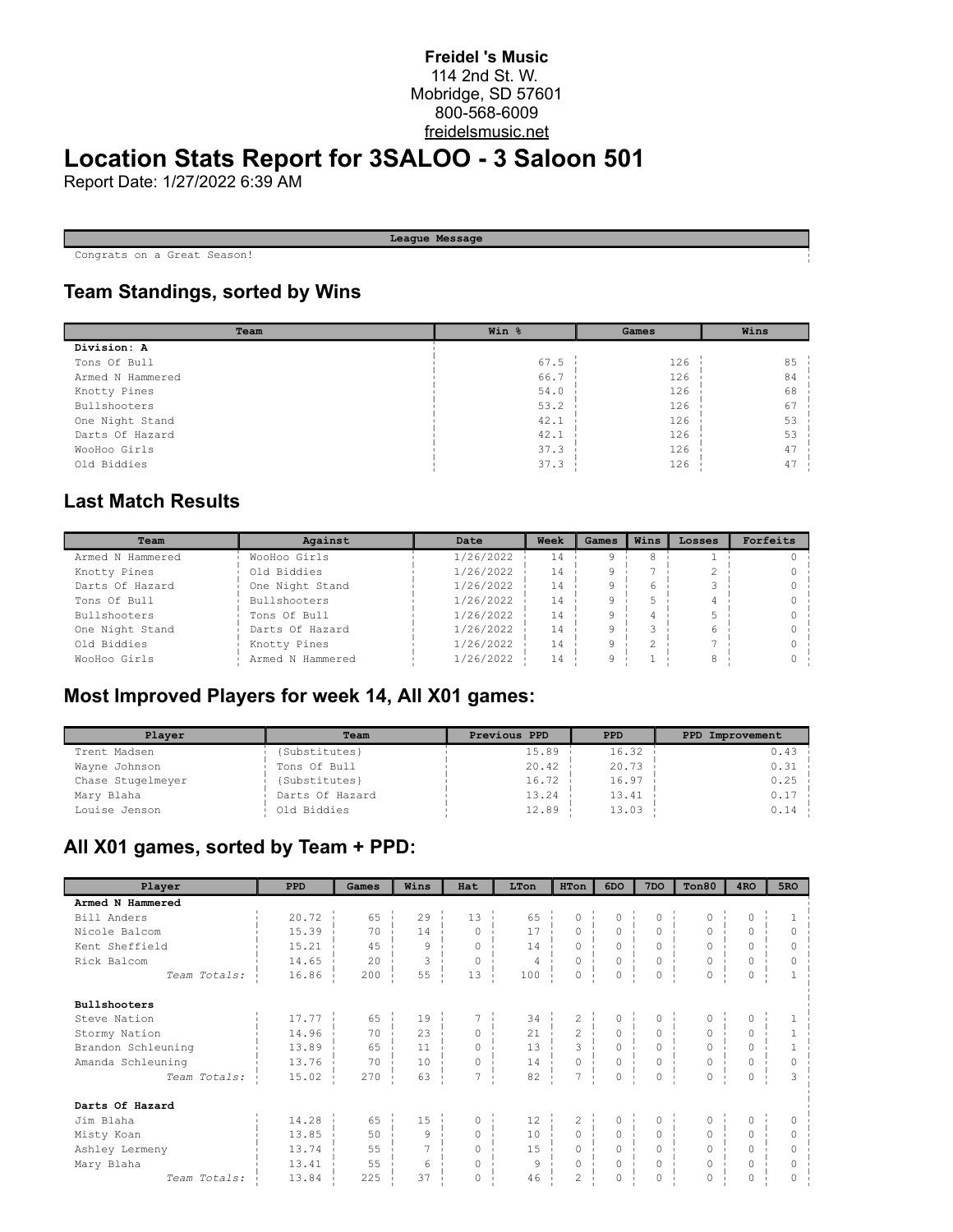#### **Freidel 's Music** 114 2nd St. W. Mobridge, SD 57601 800-568-6009 freidelsmusic.net

# **Location Stats Report for 3SALOO - 3 Saloon 501**

Report Date: 1/27/2022 6:39 AM

**League Message**

Congrats on a Great Season!

## **Team Standings, sorted by Wins**

| Team             | Win % | Games | Wins |  |  |
|------------------|-------|-------|------|--|--|
| Division: A      |       |       |      |  |  |
| Tons Of Bull     | 67.5  | 126   | 85   |  |  |
| Armed N Hammered | 66.7  | 126   | 84   |  |  |
| Knotty Pines     | 54.0  | 126   | 68   |  |  |
| Bullshooters     | 53.2  | 126   | 67   |  |  |
| One Night Stand  | 42.1  | 126   | 53   |  |  |
| Darts Of Hazard  | 42.1  | 126   | 53   |  |  |
| WooHoo Girls     | 37.3  | 126   | 47   |  |  |
| Old Biddies      | 37.3  | 126   | 47   |  |  |

## **Last Match Results**

| Team                | Against          | Date      | Week | Games | Wins | Losses | Forfeits |
|---------------------|------------------|-----------|------|-------|------|--------|----------|
| Armed N Hammered    | WooHoo Girls     | 1/26/2022 | 14   |       |      |        |          |
| Knotty Pines        | Old Biddies      | 1/26/2022 | 14   |       |      |        |          |
| Darts Of Hazard     | One Night Stand  | 1/26/2022 | 14   |       |      |        |          |
| Tons Of Bull        | Bullshooters     | 1/26/2022 | 14   |       |      |        |          |
| <b>Bullshooters</b> | Tons Of Bull     | 1/26/2022 | 14   |       |      |        |          |
| One Night Stand     | Darts Of Hazard  | 1/26/2022 | 14   | a     |      |        |          |
| Old Biddies         | Knotty Pines     | 1/26/2022 | 14   |       |      |        |          |
| WooHoo Girls        | Armed N Hammered | 1/26/2022 | 14   |       |      |        |          |

#### **Most Improved Players for week 14, All X01 games:**

| Player            | Team            | Previous PPD | <b>PPD</b> | PPD Improvement |
|-------------------|-----------------|--------------|------------|-----------------|
| Trent Madsen      | (Substitutes)   | 15.89        | 16.32      | $0.43 -$        |
| Wayne Johnson     | Tons Of Bull    | 20.42        | 20.73      | $0.31 -$        |
| Chase Stugelmeyer | (Substitutes)   | 16.72        | 16.97      | 0.25            |
| Mary Blaha        | Darts Of Hazard | 13.24        | 13.41      | $0.17 -$        |
| Louise Jenson     | Old Biddies     | 12.89        | 13.03      | 0.14            |

#### **All X01 games, sorted by Team + PPD:**

| Player              | <b>PPD</b> | Games | Wins | Hat      | LTon           | HTon           | 6DO                 | 7 <sub>DO</sub> | Ton80    | 4 <sub>RO</sub> | 5RO      |
|---------------------|------------|-------|------|----------|----------------|----------------|---------------------|-----------------|----------|-----------------|----------|
| Armed N Hammered    |            |       |      |          |                |                |                     |                 |          |                 |          |
| Bill Anders         | 20.72      | 65    | 29   | 13       | 65             | $\Omega$       | 0                   | 0               | 0        | 0               |          |
| Nicole Balcom       | 15.39      | 70    | 14   | $\Omega$ | 17             | 0              | $\circ$             | $\circ$         | 0        | $\mathbf 0$     | $\Omega$ |
| Kent Sheffield      | 15.21      | 4.5   | 9    | $\Omega$ | 14             | $\Omega$       | $\Omega$            | $\Omega$        | $\Omega$ | $\Omega$        | O        |
| Rick Balcom         | 14.65      | 20    | 3    | $\Omega$ | $\overline{4}$ | $\circ$        | $\circ$             | 0               | 0        | $\mathbf 0$     | $\Omega$ |
| Team Totals:        | 16.86      | 200   | 55   | 13       | 100            | $\circ$        | 0                   | 0               | 0        | $\mathbf 0$     |          |
| <b>Bullshooters</b> |            |       |      |          |                |                |                     |                 |          |                 |          |
| Steve Nation        | 17.77      | 65    | 19   | 7        | 34             | $\mathbf{2}$   | $\circ$             | $\circ$         | 0        | 0               |          |
| Stormy Nation       | 14.96      | 70    | 23   | $\circ$  | 21             | $\overline{2}$ | $\circ$             | $\circ$         | $\circ$  | $\circ$         |          |
| Brandon Schleuning  | 13.89      | 65    | 11   | $\Omega$ | 13             | $\mathcal{L}$  | $\Omega$            | $\Omega$        | 0        | $\Omega$        |          |
| Amanda Schleuning   | 13.76      | 70    | 10   | 0        | 14             | 0              | $\mathsf{O}\xspace$ | 0               | 0        | 0               | $\circ$  |
| Team Totals:        | 15.02      | 270   | 63   | 7        | 82             | 7              | 0                   | 0               | 0        | $\mathbf 0$     | 3        |
| Darts Of Hazard     |            |       |      |          |                |                |                     |                 |          |                 |          |
| Jim Blaha           | 14.28      | 65    | 15   | 0        | 12             | $\overline{c}$ | $\circ$             | 0               | 0        | 0               |          |
| Misty Koan          | 13.85      | 50    | 9    | $\Omega$ | 10             | $\circ$        | $\circ$             | $\circ$         | 0        | $\Omega$        | $\circ$  |
| Ashley Lermeny      | 13.74      | 55    | 7    | $\Omega$ | 15             | $\Omega$       | $\Omega$            | $\Omega$        | 0        | $\Omega$        | 0        |
| Mary Blaha          | 13.41      | 55    | 6    | 0        | 9              | 0              | 0                   | 0               | 0        | $\mathbf 0$     | $\Omega$ |
| Team Totals:        | 13.84      | 225   | 37   | $\Omega$ | 46             | $\overline{c}$ | $\Omega$            | $\Omega$        | $\Omega$ | $\Omega$        | O        |